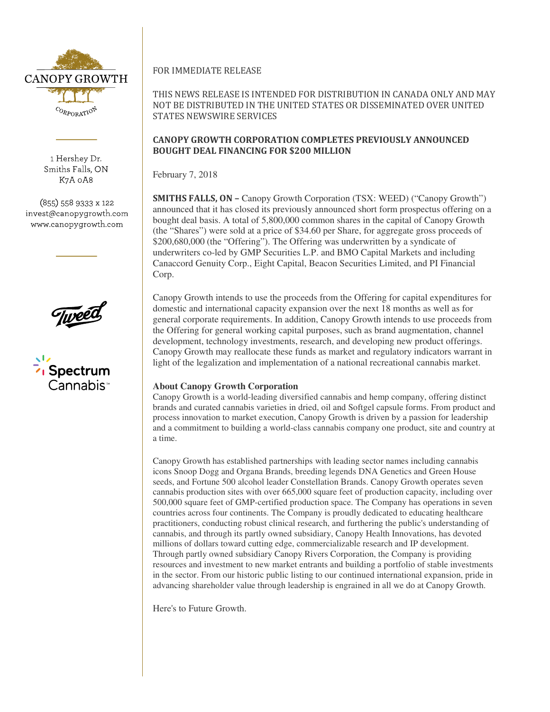

1 Hershey Dr. Smiths Falls, ON K7A 0A8

(855) 558 9333 x 122 invest@canopygrowth.com www.canopygrowth.com





FOR IMMEDIATE RELEASE

THIS NEWS RELEASE IS INTENDED FOR DISTRIBUTION IN CANADA ONLY AND MAY NOT BE DISTRIBUTED IN THE UNITED STATES OR DISSEMINATED OVER UNITED STATES NEWSWIRE SERVICES

## CANOPY GROWTH CORPORATION COMPLETES PREVIOUSLY ANNOUNCED BOUGHT DEAL FINANCING FOR \$200 MILLION

February 7, 2018

SMITHS FALLS, ON – Canopy Growth Corporation (TSX: WEED) ("Canopy Growth") announced that it has closed its previously announced short form prospectus offering on a bought deal basis. A total of 5,800,000 common shares in the capital of Canopy Growth (the "Shares") were sold at a price of \$34.60 per Share, for aggregate gross proceeds of \$200,680,000 (the "Offering"). The Offering was underwritten by a syndicate of underwriters co-led by GMP Securities L.P. and BMO Capital Markets and including Canaccord Genuity Corp., Eight Capital, Beacon Securities Limited, and PI Financial Corp.

Canopy Growth intends to use the proceeds from the Offering for capital expenditures for domestic and international capacity expansion over the next 18 months as well as for general corporate requirements. In addition, Canopy Growth intends to use proceeds from the Offering for general working capital purposes, such as brand augmentation, channel development, technology investments, research, and developing new product offerings. Canopy Growth may reallocate these funds as market and regulatory indicators warrant in light of the legalization and implementation of a national recreational cannabis market.

## **About Canopy Growth Corporation**

Canopy Growth is a world-leading diversified cannabis and hemp company, offering distinct brands and curated cannabis varieties in dried, oil and Softgel capsule forms. From product and process innovation to market execution, Canopy Growth is driven by a passion for leadership and a commitment to building a world-class cannabis company one product, site and country at a time.

Canopy Growth has established partnerships with leading sector names including cannabis icons Snoop Dogg and Organa Brands, breeding legends DNA Genetics and Green House seeds, and Fortune 500 alcohol leader Constellation Brands. Canopy Growth operates seven cannabis production sites with over 665,000 square feet of production capacity, including over 500,000 square feet of GMP-certified production space. The Company has operations in seven countries across four continents. The Company is proudly dedicated to educating healthcare practitioners, conducting robust clinical research, and furthering the public's understanding of cannabis, and through its partly owned subsidiary, Canopy Health Innovations, has devoted millions of dollars toward cutting edge, commercializable research and IP development. Through partly owned subsidiary Canopy Rivers Corporation, the Company is providing resources and investment to new market entrants and building a portfolio of stable investments in the sector. From our historic public listing to our continued international expansion, pride in advancing shareholder value through leadership is engrained in all we do at Canopy Growth.

Here's to Future Growth.